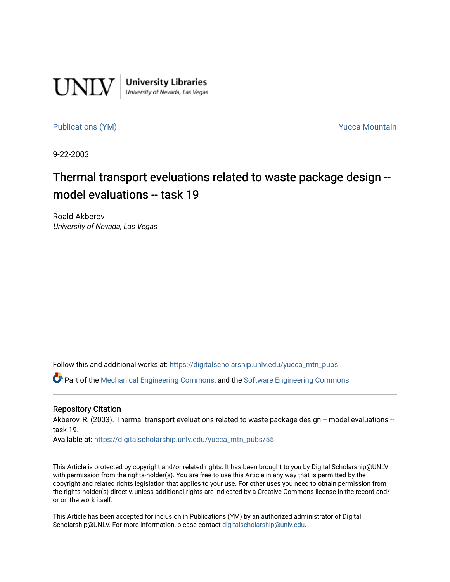

**University Libraries**<br>University of Nevada, Las Vegas

[Publications \(YM\)](https://digitalscholarship.unlv.edu/yucca_mtn_pubs) **Publications** (YM) **Publications** (YM)

9-22-2003

# Thermal transport eveluations related to waste package design -model evaluations -- task 19

Roald Akberov University of Nevada, Las Vegas

Follow this and additional works at: [https://digitalscholarship.unlv.edu/yucca\\_mtn\\_pubs](https://digitalscholarship.unlv.edu/yucca_mtn_pubs?utm_source=digitalscholarship.unlv.edu%2Fyucca_mtn_pubs%2F55&utm_medium=PDF&utm_campaign=PDFCoverPages)

Part of the [Mechanical Engineering Commons,](http://network.bepress.com/hgg/discipline/293?utm_source=digitalscholarship.unlv.edu%2Fyucca_mtn_pubs%2F55&utm_medium=PDF&utm_campaign=PDFCoverPages) and the [Software Engineering Commons](http://network.bepress.com/hgg/discipline/150?utm_source=digitalscholarship.unlv.edu%2Fyucca_mtn_pubs%2F55&utm_medium=PDF&utm_campaign=PDFCoverPages)

#### Repository Citation

Akberov, R. (2003). Thermal transport eveluations related to waste package design -- model evaluations -task 19.

Available at: [https://digitalscholarship.unlv.edu/yucca\\_mtn\\_pubs/55](https://digitalscholarship.unlv.edu/yucca_mtn_pubs/55) 

This Article is protected by copyright and/or related rights. It has been brought to you by Digital Scholarship@UNLV with permission from the rights-holder(s). You are free to use this Article in any way that is permitted by the copyright and related rights legislation that applies to your use. For other uses you need to obtain permission from the rights-holder(s) directly, unless additional rights are indicated by a Creative Commons license in the record and/ or on the work itself.

This Article has been accepted for inclusion in Publications (YM) by an authorized administrator of Digital Scholarship@UNLV. For more information, please contact [digitalscholarship@unlv.edu.](mailto:digitalscholarship@unlv.edu)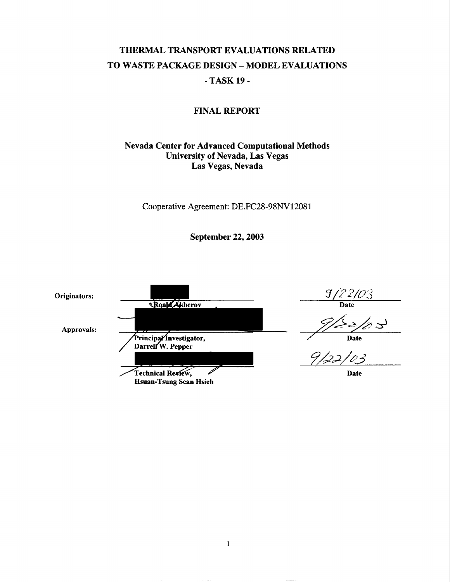## THERMAL TRANSPORT EVALUATIONS RELATED TO WASTE PACKAGE DESIGN - MODEL EVALUATIONS - TASK 19 -

### **FINAL REPORT**

### **Nevada Center for Advanced Computational Methods** University of Nevada, Las Vegas Las Vegas, Nevada

Cooperative Agreement: DE.FC28-98NV12081

September 22, 2003

| Originators: |                                                    | 9/22/03     |
|--------------|----------------------------------------------------|-------------|
|              | Roald Akberov                                      | <b>Date</b> |
| Approvals:   | 77                                                 |             |
|              | Principa/Investigator,<br>Darrell'W. Pepper        | <b>Date</b> |
|              |                                                    |             |
|              | Technical Review,<br><b>Hsuan-Tsung Sean Hsieh</b> | Date        |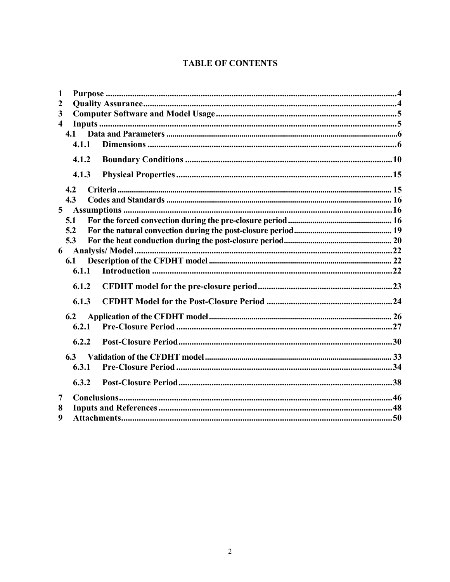### **TABLE OF CONTENTS**

| 1                       |  |
|-------------------------|--|
| $\boldsymbol{2}$        |  |
| $\overline{\mathbf{3}}$ |  |
| $\overline{\mathbf{4}}$ |  |
| 4.1                     |  |
| 4.1.1                   |  |
| 4.1.2                   |  |
| 4.1.3                   |  |
| 4.2                     |  |
| 4.3                     |  |
| 5 <sup>1</sup>          |  |
| 5.1                     |  |
| 5.2                     |  |
| 5.3                     |  |
| 6                       |  |
| 6.1                     |  |
| 6.1.1                   |  |
| 6.1.2                   |  |
| 6.1.3                   |  |
| 6.2                     |  |
| 6.2.1                   |  |
| 6.2.2                   |  |
| 6.3                     |  |
| 6.3.1                   |  |
| 6.3.2                   |  |
| 7                       |  |
| 8                       |  |
| 9                       |  |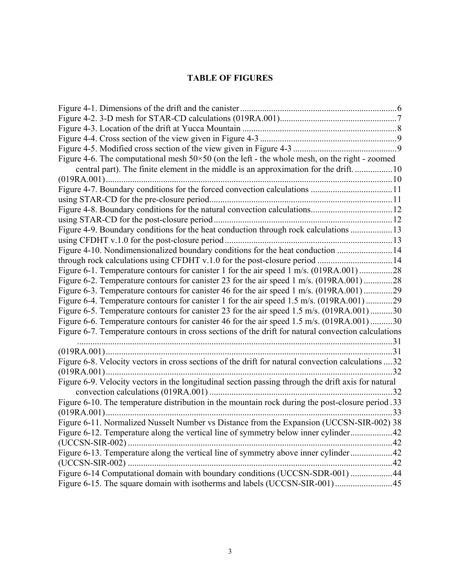### **TABLE OF FIGURES**

| Figure 4-6. The computational mesh $50 \times 50$ (on the left - the whole mesh, on the right - zoomed |  |
|--------------------------------------------------------------------------------------------------------|--|
| central part). The finite element in the middle is an approximation for the drift.  10                 |  |
|                                                                                                        |  |
|                                                                                                        |  |
|                                                                                                        |  |
| Figure 4-8. Boundary conditions for the natural convection calculations12                              |  |
|                                                                                                        |  |
| Figure 4-9. Boundary conditions for the heat conduction through rock calculations  13                  |  |
|                                                                                                        |  |
| Figure 4-10. Nondimensionalized boundary conditions for the heat conduction 14                         |  |
|                                                                                                        |  |
| Figure 6-1. Temperature contours for canister 1 for the air speed 1 m/s. (019RA.001) 28                |  |
| Figure 6-2. Temperature contours for canister 23 for the air speed 1 m/s. (019RA.001) 28               |  |
| Figure 6-3. Temperature contours for canister 46 for the air speed 1 m/s. (019RA.001) 29               |  |
| Figure 6-4. Temperature contours for canister 1 for the air speed 1.5 m/s. (019RA.001) 29              |  |
| Figure 6-5. Temperature contours for canister 23 for the air speed 1.5 m/s. (019RA.001) 30             |  |
| Figure 6-6. Temperature contours for canister 46 for the air speed 1.5 m/s. (019RA.001) 30             |  |
| Figure 6-7. Temperature contours in cross sections of the drift for natural convection calculations    |  |
|                                                                                                        |  |
|                                                                                                        |  |
| Figure 6-8. Velocity vectors in cross sections of the drift for natural convection calculations  32    |  |
| 32                                                                                                     |  |
| Figure 6-9. Velocity vectors in the longitudinal section passing through the drift axis for natural    |  |
|                                                                                                        |  |
| Figure 6-10. The temperature distribution in the mountain rock during the post-closure period .33      |  |
|                                                                                                        |  |
| Figure 6-11. Normalized Nusselt Number vs Distance from the Expansion (UCCSN-SIR-002) 38               |  |
| Figure 6-12. Temperature along the vertical line of symmetry below inner cylinder 42                   |  |
|                                                                                                        |  |
| Figure 6-13. Temperature along the vertical line of symmetry above inner cylinder 42                   |  |
|                                                                                                        |  |
| Figure 6-14 Computational domain with boundary conditions (UCCSN-SDR-001)  44                          |  |
|                                                                                                        |  |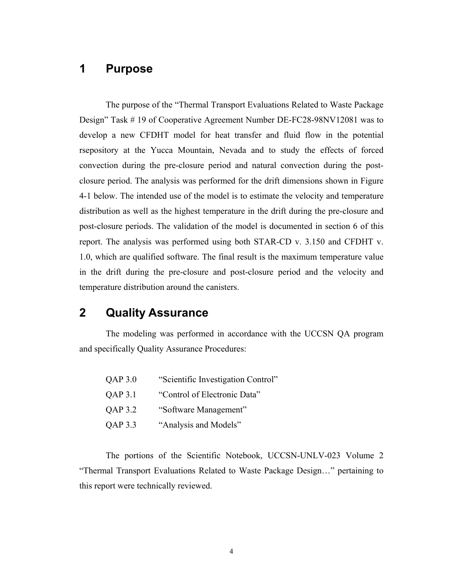## **1 Purpose**

The purpose of the "Thermal Transport Evaluations Related to Waste Package Design" Task # 19 of Cooperative Agreement Number DE-FC28-98NV12081 was to develop a new CFDHT model for heat transfer and fluid flow in the potential rsepository at the Yucca Mountain, Nevada and to study the effects of forced convection during the pre-closure period and natural convection during the postclosure period. The analysis was performed for the drift dimensions shown in Figure 4-1 below. The intended use of the model is to estimate the velocity and temperature distribution as well as the highest temperature in the drift during the pre-closure and post-closure periods. The validation of the model is documented in section 6 of this report. The analysis was performed using both STAR-CD v. 3.150 and CFDHT v. 1.0, which are qualified software. The final result is the maximum temperature value in the drift during the pre-closure and post-closure period and the velocity and temperature distribution around the canisters.

## **2 Quality Assurance**

The modeling was performed in accordance with the UCCSN QA program and specifically Quality Assurance Procedures:

| <b>QAP 3.0</b> | "Scientific Investigation Control" |
|----------------|------------------------------------|
| QAP 3.1        | "Control of Electronic Data"       |
| QAP 3.2        | "Software Management"              |
| QAP 3.3        | "Analysis and Models"              |

The portions of the Scientific Notebook, UCCSN-UNLV-023 Volume 2 "Thermal Transport Evaluations Related to Waste Package Design…" pertaining to this report were technically reviewed.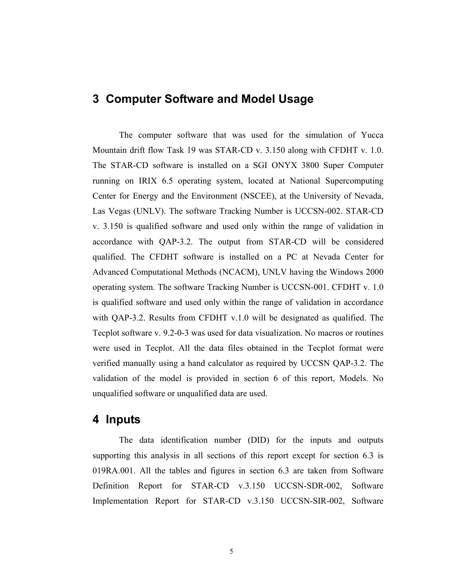## **3 Computer Software and Model Usage**

The computer software that was used for the simulation of Yucca Mountain drift flow Task 19 was STAR-CD v. 3.150 along with CFDHT v. 1.0. The STAR-CD software is installed on a SGI ONYX 3800 Super Computer running on IRIX 6.5 operating system, located at National Supercomputing Center for Energy and the Environment (NSCEE), at the University of Nevada, Las Vegas (UNLV). The software Tracking Number is UCCSN-002. STAR-CD v. 3.150 is qualified software and used only within the range of validation in accordance with QAP-3.2. The output from STAR-CD will be considered qualified. The CFDHT software is installed on a PC at Nevada Center for Advanced Computational Methods (NCACM), UNLV having the Windows 2000 operating system. The software Tracking Number is UCCSN-001. CFDHT v. 1.0 is qualified software and used only within the range of validation in accordance with QAP-3.2. Results from CFDHT v.1.0 will be designated as qualified. The Tecplot software v. 9.2-0-3 was used for data visualization. No macros or routines were used in Tecplot. All the data files obtained in the Tecplot format were verified manually using a hand calculator as required by UCCSN QAP-3.2. The validation of the model is provided in section 6 of this report, Models. No unqualified software or unqualified data are used.

## **4 Inputs**

The data identification number (DID) for the inputs and outputs supporting this analysis in all sections of this report except for section 6.3 is 019RA.001. All the tables and figures in section 6.3 are taken from Software Definition Report for STAR-CD v.3.150 UCCSN-SDR-002, Software Implementation Report for STAR-CD v.3.150 UCCSN-SIR-002, Software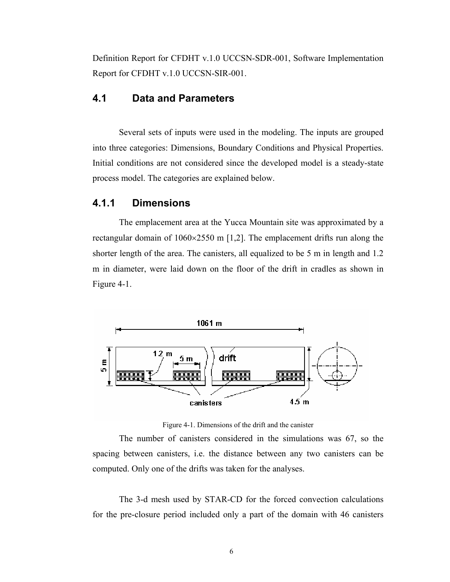Definition Report for CFDHT v.1.0 UCCSN-SDR-001, Software Implementation Report for CFDHT v.1.0 UCCSN-SIR-001.

### **4.1 Data and Parameters**

Several sets of inputs were used in the modeling. The inputs are grouped into three categories: Dimensions, Boundary Conditions and Physical Properties. Initial conditions are not considered since the developed model is a steady-state process model. The categories are explained below.

### **4.1.1 Dimensions**

The emplacement area at the Yucca Mountain site was approximated by a rectangular domain of 1060×2550 m [1,2]. The emplacement drifts run along the shorter length of the area. The canisters, all equalized to be 5 m in length and 1.2 m in diameter, were laid down on the floor of the drift in cradles as shown in Figure 4-1.



Figure 4-1. Dimensions of the drift and the canister

The number of canisters considered in the simulations was 67, so the spacing between canisters, i.e. the distance between any two canisters can be computed. Only one of the drifts was taken for the analyses.

The 3-d mesh used by STAR-CD for the forced convection calculations for the pre-closure period included only a part of the domain with 46 canisters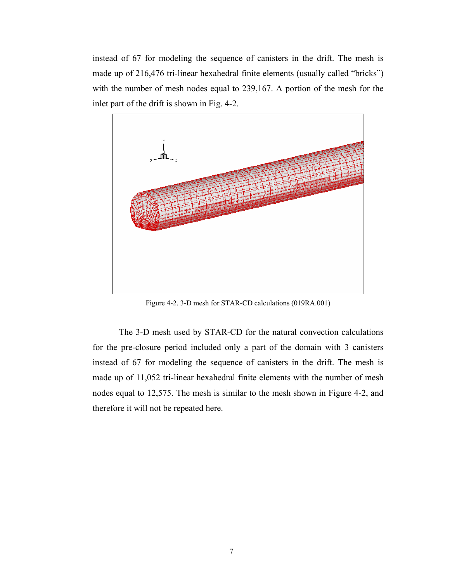instead of 67 for modeling the sequence of canisters in the drift. The mesh is made up of 216,476 tri-linear hexahedral finite elements (usually called "bricks") with the number of mesh nodes equal to 239,167. A portion of the mesh for the inlet part of the drift is shown in Fig. 4-2.



Figure 4-2. 3-D mesh for STAR-CD calculations (019RA.001)

The 3-D mesh used by STAR-CD for the natural convection calculations for the pre-closure period included only a part of the domain with 3 canisters instead of 67 for modeling the sequence of canisters in the drift. The mesh is made up of 11,052 tri-linear hexahedral finite elements with the number of mesh nodes equal to 12,575. The mesh is similar to the mesh shown in Figure 4-2, and therefore it will not be repeated here.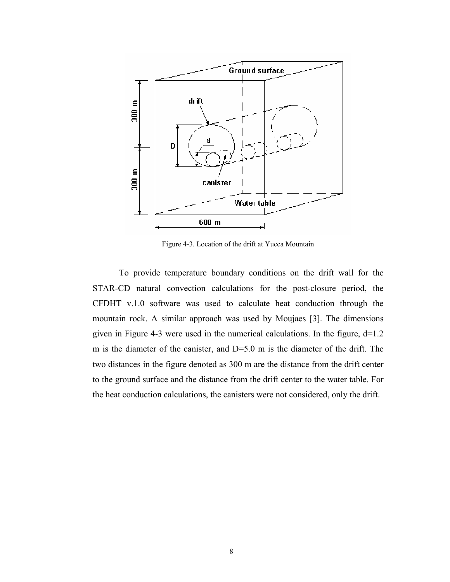

Figure 4-3. Location of the drift at Yucca Mountain

To provide temperature boundary conditions on the drift wall for the STAR-CD natural convection calculations for the post-closure period, the CFDHT v.1.0 software was used to calculate heat conduction through the mountain rock. A similar approach was used by Moujaes [3]. The dimensions given in Figure 4-3 were used in the numerical calculations. In the figure,  $d=1.2$ m is the diameter of the canister, and D=5.0 m is the diameter of the drift. The two distances in the figure denoted as 300 m are the distance from the drift center to the ground surface and the distance from the drift center to the water table. For the heat conduction calculations, the canisters were not considered, only the drift.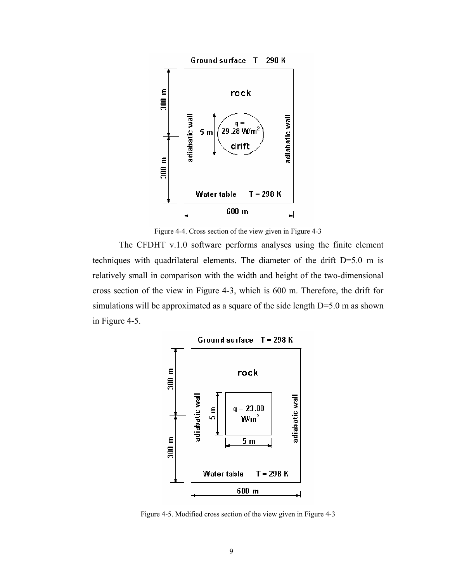

Figure 4-4. Cross section of the view given in Figure 4-3

The CFDHT v.1.0 software performs analyses using the finite element techniques with quadrilateral elements. The diameter of the drift D=5.0 m is relatively small in comparison with the width and height of the two-dimensional cross section of the view in Figure 4-3, which is 600 m. Therefore, the drift for simulations will be approximated as a square of the side length D=5.0 m as shown in Figure 4-5.



Figure 4-5. Modified cross section of the view given in Figure 4-3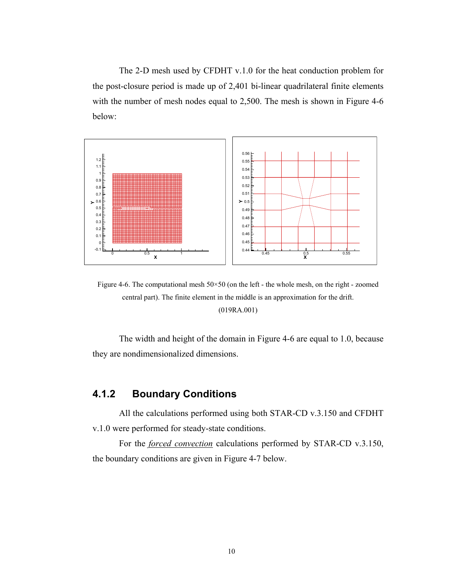The 2-D mesh used by CFDHT v.1.0 for the heat conduction problem for the post-closure period is made up of 2,401 bi-linear quadrilateral finite elements with the number of mesh nodes equal to 2,500. The mesh is shown in Figure 4-6 below:



Figure 4-6. The computational mesh  $50 \times 50$  (on the left - the whole mesh, on the right - zoomed central part). The finite element in the middle is an approximation for the drift. (019RA.001)

The width and height of the domain in Figure 4-6 are equal to 1.0, because they are nondimensionalized dimensions.

## **4.1.2 Boundary Conditions**

All the calculations performed using both STAR-CD v.3.150 and CFDHT v.1.0 were performed for steady-state conditions.

For the *forced convection* calculations performed by STAR-CD v.3.150, the boundary conditions are given in Figure 4-7 below.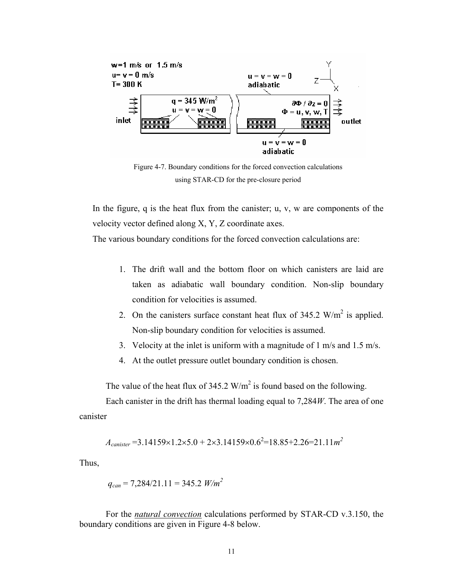

Figure 4-7. Boundary conditions for the forced convection calculations using STAR-CD for the pre-closure period

In the figure, q is the heat flux from the canister; u, v, w are components of the velocity vector defined along X, Y, Z coordinate axes.

The various boundary conditions for the forced convection calculations are:

- 1. The drift wall and the bottom floor on which canisters are laid are taken as adiabatic wall boundary condition. Non-slip boundary condition for velocities is assumed.
- 2. On the canisters surface constant heat flux of  $345.2 \text{ W/m}^2$  is applied. Non-slip boundary condition for velocities is assumed.
- 3. Velocity at the inlet is uniform with a magnitude of 1 m/s and 1.5 m/s.
- 4. At the outlet pressure outlet boundary condition is chosen.

The value of the heat flux of 345.2  $W/m^2$  is found based on the following.

Each canister in the drift has thermal loading equal to 7,284*W*. The area of one canister

$$
A_{canister} = 3.14159 \times 1.2 \times 5.0 + 2 \times 3.14159 \times 0.6^2 = 18.85 + 2.26 = 21.11 m^2
$$

Thus,

$$
q_{can} = 7{,}284/21.11 = 345.2
$$
 W/m<sup>2</sup>

For the *natural convection* calculations performed by STAR-CD v.3.150, the boundary conditions are given in Figure 4-8 below.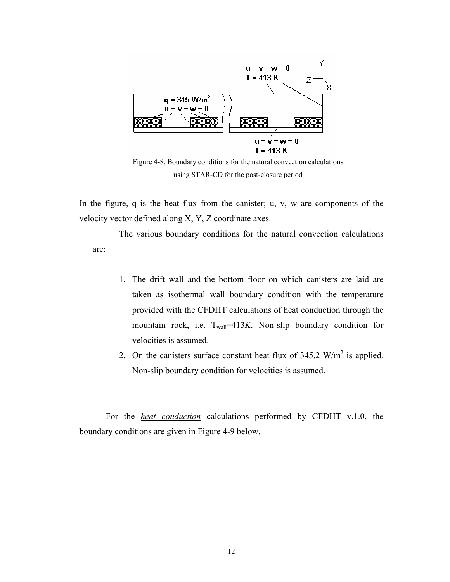

Figure 4-8. Boundary conditions for the natural convection calculations using STAR-CD for the post-closure period

In the figure, q is the heat flux from the canister; u, v, w are components of the velocity vector defined along X, Y, Z coordinate axes.

The various boundary conditions for the natural convection calculations are:

- 1. The drift wall and the bottom floor on which canisters are laid are taken as isothermal wall boundary condition with the temperature provided with the CFDHT calculations of heat conduction through the mountain rock, i.e. Twall=413*K*. Non-slip boundary condition for velocities is assumed.
- 2. On the canisters surface constant heat flux of  $345.2 \text{ W/m}^2$  is applied. Non-slip boundary condition for velocities is assumed.

For the *heat conduction* calculations performed by CFDHT v.1.0, the boundary conditions are given in Figure 4-9 below.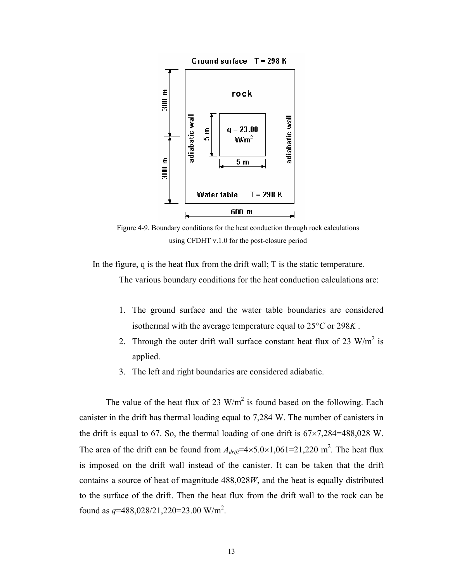

Figure 4-9. Boundary conditions for the heat conduction through rock calculations using CFDHT v.1.0 for the post-closure period

In the figure, q is the heat flux from the drift wall; T is the static temperature. The various boundary conditions for the heat conduction calculations are:

- 1. The ground surface and the water table boundaries are considered isothermal with the average temperature equal to 25°*C* or 298*K* .
- 2. Through the outer drift wall surface constant heat flux of 23  $W/m^2$  is applied.
- 3. The left and right boundaries are considered adiabatic.

The value of the heat flux of 23  $W/m^2$  is found based on the following. Each canister in the drift has thermal loading equal to 7,284 W. The number of canisters in the drift is equal to 67. So, the thermal loading of one drift is  $67\times7,284=488,028$  W. The area of the drift can be found from  $A_{drift}$ =4×5.0×1,061=21,220 m<sup>2</sup>. The heat flux is imposed on the drift wall instead of the canister. It can be taken that the drift contains a source of heat of magnitude 488,028*W*, and the heat is equally distributed to the surface of the drift. Then the heat flux from the drift wall to the rock can be found as *q*=488,028/21,220=23.00 W/m2 .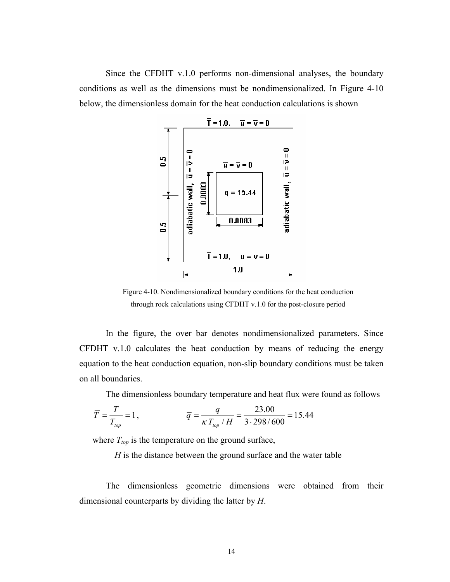Since the CFDHT v.1.0 performs non-dimensional analyses, the boundary conditions as well as the dimensions must be nondimensionalized. In Figure 4-10 below, the dimensionless domain for the heat conduction calculations is shown



Figure 4-10. Nondimensionalized boundary conditions for the heat conduction through rock calculations using CFDHT v.1.0 for the post-closure period

In the figure, the over bar denotes nondimensionalized parameters. Since CFDHT v.1.0 calculates the heat conduction by means of reducing the energy equation to the heat conduction equation, non-slip boundary conditions must be taken on all boundaries.

The dimensionless boundary temperature and heat flux were found as follows

$$
\overline{T} = \frac{T}{T_{top}} = 1, \qquad \qquad \overline{q} = \frac{q}{\kappa T_{top} / H} = \frac{23.00}{3.298 / 600} = 15.44
$$

where  $T_{top}$  is the temperature on the ground surface,

*H* is the distance between the ground surface and the water table

The dimensionless geometric dimensions were obtained from their dimensional counterparts by dividing the latter by *H*.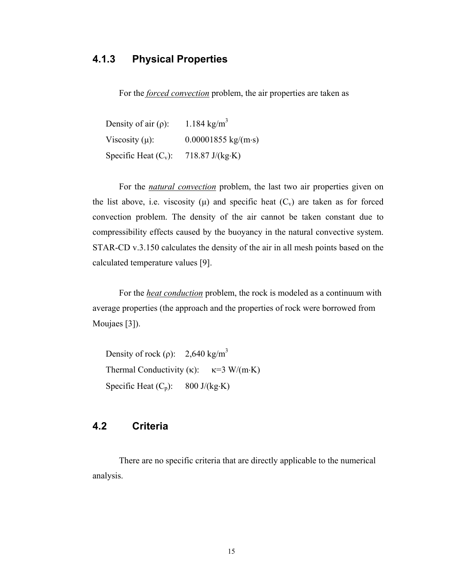## **4.1.3 Physical Properties**

For the *forced convection* problem, the air properties are taken as

| Density of air $(\rho)$ : | 1.184 kg/m <sup>3</sup>       |
|---------------------------|-------------------------------|
| Viscosity $(\mu)$ :       | $0.00001855 \text{ kg/(m·s)}$ |
| Specific Heat $(C_v)$ :   | 718.87 $J/(kg·K)$             |

For the *natural convection* problem, the last two air properties given on the list above, i.e. viscosity  $(\mu)$  and specific heat  $(C_v)$  are taken as for forced convection problem. The density of the air cannot be taken constant due to compressibility effects caused by the buoyancy in the natural convective system. STAR-CD v.3.150 calculates the density of the air in all mesh points based on the calculated temperature values [9].

For the *heat conduction* problem, the rock is modeled as a continuum with average properties (the approach and the properties of rock were borrowed from Moujaes [3]).

Density of rock (ρ):  $2,640 \text{ kg/m}^3$ Thermal Conductivity  $(\kappa)$ :  $\kappa=3$  W/(m⋅K) Specific Heat  $(C_p)$ : 800 J/(kg⋅K)

### **4.2 Criteria**

There are no specific criteria that are directly applicable to the numerical analysis.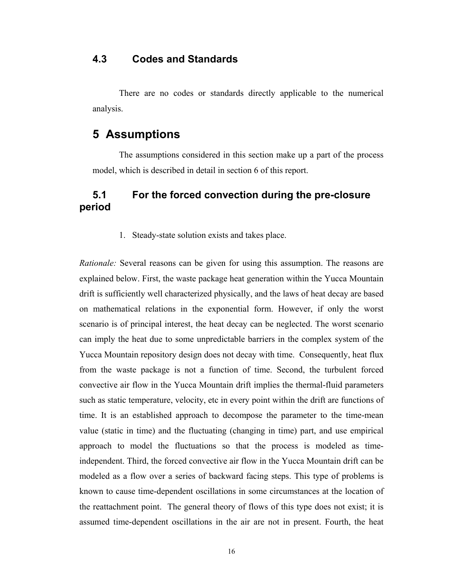## **4.3 Codes and Standards**

There are no codes or standards directly applicable to the numerical analysis.

## **5 Assumptions**

The assumptions considered in this section make up a part of the process model, which is described in detail in section 6 of this report.

## **5.1 For the forced convection during the pre-closure period**

1. Steady-state solution exists and takes place.

*Rationale:* Several reasons can be given for using this assumption. The reasons are explained below. First, the waste package heat generation within the Yucca Mountain drift is sufficiently well characterized physically, and the laws of heat decay are based on mathematical relations in the exponential form. However, if only the worst scenario is of principal interest, the heat decay can be neglected. The worst scenario can imply the heat due to some unpredictable barriers in the complex system of the Yucca Mountain repository design does not decay with time. Consequently, heat flux from the waste package is not a function of time. Second, the turbulent forced convective air flow in the Yucca Mountain drift implies the thermal-fluid parameters such as static temperature, velocity, etc in every point within the drift are functions of time. It is an established approach to decompose the parameter to the time-mean value (static in time) and the fluctuating (changing in time) part, and use empirical approach to model the fluctuations so that the process is modeled as timeindependent. Third, the forced convective air flow in the Yucca Mountain drift can be modeled as a flow over a series of backward facing steps. This type of problems is known to cause time-dependent oscillations in some circumstances at the location of the reattachment point. The general theory of flows of this type does not exist; it is assumed time-dependent oscillations in the air are not in present. Fourth, the heat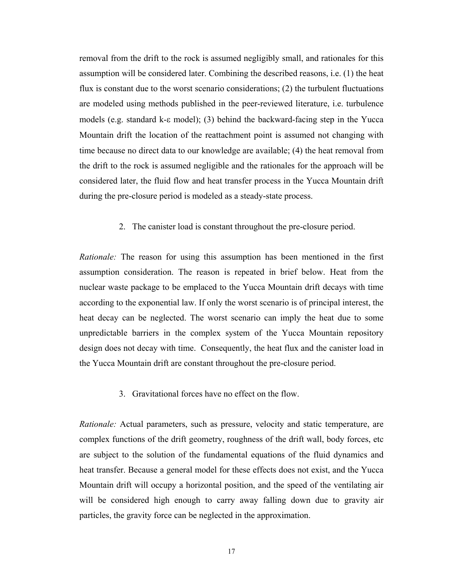removal from the drift to the rock is assumed negligibly small, and rationales for this assumption will be considered later. Combining the described reasons, i.e. (1) the heat flux is constant due to the worst scenario considerations; (2) the turbulent fluctuations are modeled using methods published in the peer-reviewed literature, i.e. turbulence models (e.g. standard k-ε model); (3) behind the backward-facing step in the Yucca Mountain drift the location of the reattachment point is assumed not changing with time because no direct data to our knowledge are available; (4) the heat removal from the drift to the rock is assumed negligible and the rationales for the approach will be considered later, the fluid flow and heat transfer process in the Yucca Mountain drift during the pre-closure period is modeled as a steady-state process.

2. The canister load is constant throughout the pre-closure period.

*Rationale:* The reason for using this assumption has been mentioned in the first assumption consideration. The reason is repeated in brief below. Heat from the nuclear waste package to be emplaced to the Yucca Mountain drift decays with time according to the exponential law. If only the worst scenario is of principal interest, the heat decay can be neglected. The worst scenario can imply the heat due to some unpredictable barriers in the complex system of the Yucca Mountain repository design does not decay with time. Consequently, the heat flux and the canister load in the Yucca Mountain drift are constant throughout the pre-closure period.

3. Gravitational forces have no effect on the flow.

*Rationale:* Actual parameters, such as pressure, velocity and static temperature, are complex functions of the drift geometry, roughness of the drift wall, body forces, etc are subject to the solution of the fundamental equations of the fluid dynamics and heat transfer. Because a general model for these effects does not exist, and the Yucca Mountain drift will occupy a horizontal position, and the speed of the ventilating air will be considered high enough to carry away falling down due to gravity air particles, the gravity force can be neglected in the approximation.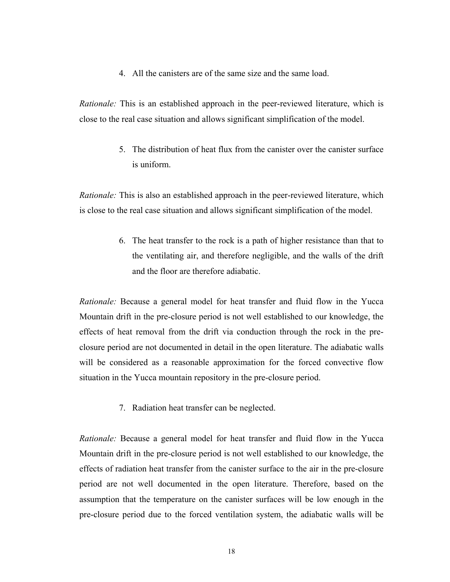4. All the canisters are of the same size and the same load.

*Rationale:* This is an established approach in the peer-reviewed literature, which is close to the real case situation and allows significant simplification of the model.

> 5. The distribution of heat flux from the canister over the canister surface is uniform.

*Rationale:* This is also an established approach in the peer-reviewed literature, which is close to the real case situation and allows significant simplification of the model.

> 6. The heat transfer to the rock is a path of higher resistance than that to the ventilating air, and therefore negligible, and the walls of the drift and the floor are therefore adiabatic.

*Rationale:* Because a general model for heat transfer and fluid flow in the Yucca Mountain drift in the pre-closure period is not well established to our knowledge, the effects of heat removal from the drift via conduction through the rock in the preclosure period are not documented in detail in the open literature. The adiabatic walls will be considered as a reasonable approximation for the forced convective flow situation in the Yucca mountain repository in the pre-closure period.

7. Radiation heat transfer can be neglected.

*Rationale:* Because a general model for heat transfer and fluid flow in the Yucca Mountain drift in the pre-closure period is not well established to our knowledge, the effects of radiation heat transfer from the canister surface to the air in the pre-closure period are not well documented in the open literature. Therefore, based on the assumption that the temperature on the canister surfaces will be low enough in the pre-closure period due to the forced ventilation system, the adiabatic walls will be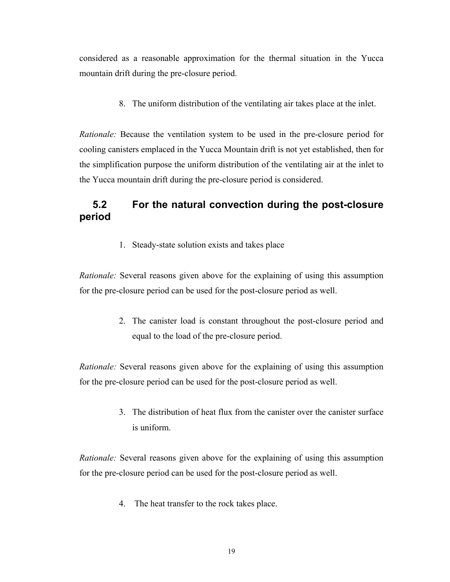considered as a reasonable approximation for the thermal situation in the Yucca mountain drift during the pre-closure period.

8. The uniform distribution of the ventilating air takes place at the inlet.

*Rationale:* Because the ventilation system to be used in the pre-closure period for cooling canisters emplaced in the Yucca Mountain drift is not yet established, then for the simplification purpose the uniform distribution of the ventilating air at the inlet to the Yucca mountain drift during the pre-closure period is considered.

## **5.2 For the natural convection during the post-closure period**

1. Steady-state solution exists and takes place

*Rationale:* Several reasons given above for the explaining of using this assumption for the pre-closure period can be used for the post-closure period as well.

> 2. The canister load is constant throughout the post-closure period and equal to the load of the pre-closure period.

*Rationale:* Several reasons given above for the explaining of using this assumption for the pre-closure period can be used for the post-closure period as well.

> 3. The distribution of heat flux from the canister over the canister surface is uniform.

*Rationale:* Several reasons given above for the explaining of using this assumption for the pre-closure period can be used for the post-closure period as well.

4. The heat transfer to the rock takes place.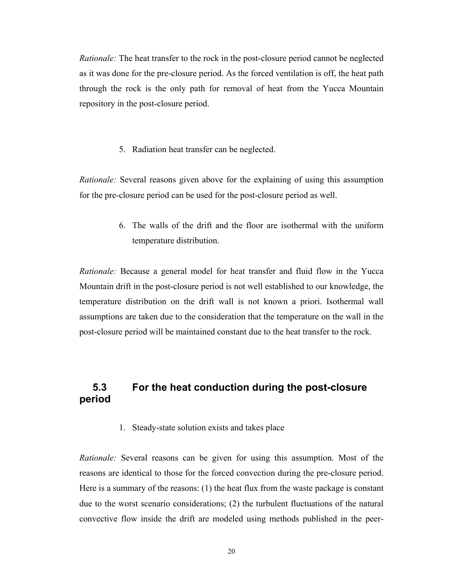*Rationale:* The heat transfer to the rock in the post-closure period cannot be neglected as it was done for the pre-closure period. As the forced ventilation is off, the heat path through the rock is the only path for removal of heat from the Yucca Mountain repository in the post-closure period.

5. Radiation heat transfer can be neglected.

*Rationale:* Several reasons given above for the explaining of using this assumption for the pre-closure period can be used for the post-closure period as well.

> 6. The walls of the drift and the floor are isothermal with the uniform temperature distribution.

*Rationale:* Because a general model for heat transfer and fluid flow in the Yucca Mountain drift in the post-closure period is not well established to our knowledge, the temperature distribution on the drift wall is not known a priori. Isothermal wall assumptions are taken due to the consideration that the temperature on the wall in the post-closure period will be maintained constant due to the heat transfer to the rock.

## **5.3 For the heat conduction during the post-closure period**

1. Steady-state solution exists and takes place

*Rationale:* Several reasons can be given for using this assumption. Most of the reasons are identical to those for the forced convection during the pre-closure period. Here is a summary of the reasons: (1) the heat flux from the waste package is constant due to the worst scenario considerations; (2) the turbulent fluctuations of the natural convective flow inside the drift are modeled using methods published in the peer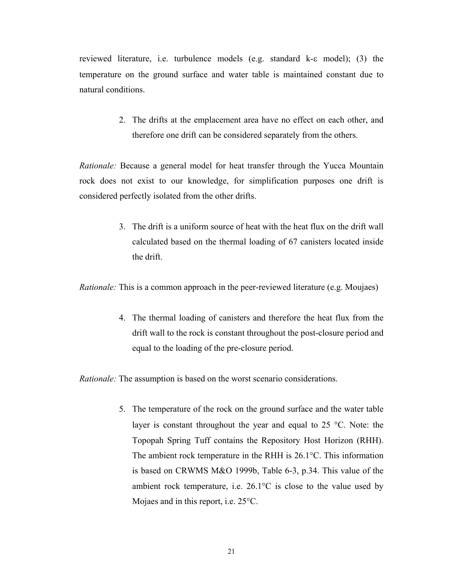reviewed literature, i.e. turbulence models (e.g. standard k-ε model); (3) the temperature on the ground surface and water table is maintained constant due to natural conditions.

> 2. The drifts at the emplacement area have no effect on each other, and therefore one drift can be considered separately from the others.

*Rationale:* Because a general model for heat transfer through the Yucca Mountain rock does not exist to our knowledge, for simplification purposes one drift is considered perfectly isolated from the other drifts.

> 3. The drift is a uniform source of heat with the heat flux on the drift wall calculated based on the thermal loading of 67 canisters located inside the drift.

*Rationale:* This is a common approach in the peer-reviewed literature (e.g. Moujaes)

4. The thermal loading of canisters and therefore the heat flux from the drift wall to the rock is constant throughout the post-closure period and equal to the loading of the pre-closure period.

*Rationale:* The assumption is based on the worst scenario considerations.

5. The temperature of the rock on the ground surface and the water table layer is constant throughout the year and equal to 25 °C. Note: the Topopah Spring Tuff contains the Repository Host Horizon (RHH). The ambient rock temperature in the RHH is 26.1°C. This information is based on CRWMS M&O 1999b, Table 6-3, p.34. This value of the ambient rock temperature, i.e. 26.1°C is close to the value used by Mojaes and in this report, i.e. 25°C.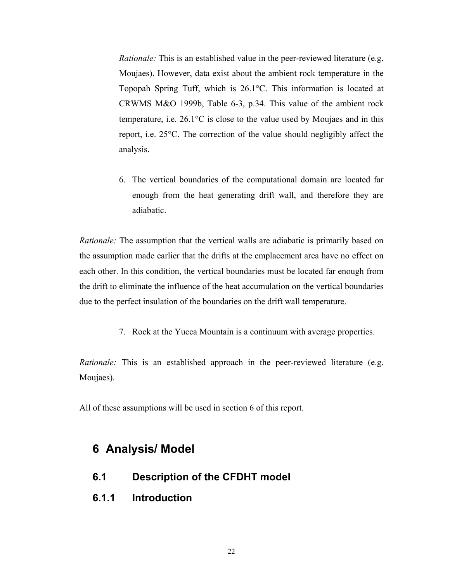*Rationale:* This is an established value in the peer-reviewed literature (e.g. Moujaes). However, data exist about the ambient rock temperature in the Topopah Spring Tuff, which is 26.1°C. This information is located at CRWMS M&O 1999b, Table 6-3, p.34. This value of the ambient rock temperature, i.e. 26.1°C is close to the value used by Moujaes and in this report, i.e. 25°C. The correction of the value should negligibly affect the analysis.

6. The vertical boundaries of the computational domain are located far enough from the heat generating drift wall, and therefore they are adiabatic.

*Rationale:* The assumption that the vertical walls are adiabatic is primarily based on the assumption made earlier that the drifts at the emplacement area have no effect on each other. In this condition, the vertical boundaries must be located far enough from the drift to eliminate the influence of the heat accumulation on the vertical boundaries due to the perfect insulation of the boundaries on the drift wall temperature.

7. Rock at the Yucca Mountain is a continuum with average properties.

*Rationale:* This is an established approach in the peer-reviewed literature (e.g. Moujaes).

All of these assumptions will be used in section 6 of this report.

## **6 Analysis/ Model**

- **6.1 Description of the CFDHT model**
- **6.1.1 Introduction**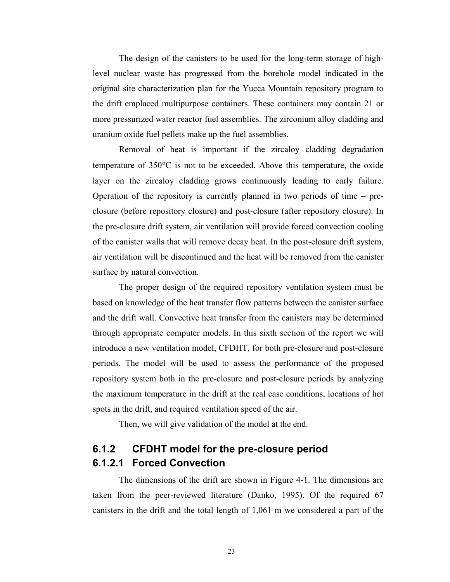The design of the canisters to be used for the long-term storage of highlevel nuclear waste has progressed from the borehole model indicated in the original site characterization plan for the Yucca Mountain repository program to the drift emplaced multipurpose containers. These containers may contain 21 or more pressurized water reactor fuel assemblies. The zirconium alloy cladding and uranium oxide fuel pellets make up the fuel assemblies.

Removal of heat is important if the zircaloy cladding degradation temperature of 350°C is not to be exceeded. Above this temperature, the oxide layer on the zircaloy cladding grows continuously leading to early failure. Operation of the repository is currently planned in two periods of time – preclosure (before repository closure) and post-closure (after repository closure). In the pre-closure drift system, air ventilation will provide forced convection cooling of the canister walls that will remove decay heat. In the post-closure drift system, air ventilation will be discontinued and the heat will be removed from the canister surface by natural convection.

The proper design of the required repository ventilation system must be based on knowledge of the heat transfer flow patterns between the canister surface and the drift wall. Convective heat transfer from the canisters may be determined through appropriate computer models. In this sixth section of the report we will introduce a new ventilation model, CFDHT, for both pre-closure and post-closure periods. The model will be used to assess the performance of the proposed repository system both in the pre-closure and post-closure periods by analyzing the maximum temperature in the drift at the real case conditions, locations of hot spots in the drift, and required ventilation speed of the air.

Then, we will give validation of the model at the end.

## **6.1.2 CFDHT model for the pre-closure period 6.1.2.1 Forced Convection**

The dimensions of the drift are shown in Figure 4-1. The dimensions are taken from the peer-reviewed literature (Danko, 1995). Of the required 67 canisters in the drift and the total length of 1,061 m we considered a part of the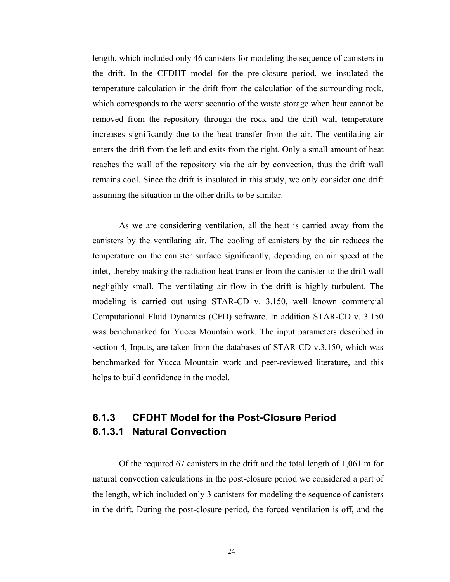length, which included only 46 canisters for modeling the sequence of canisters in the drift. In the CFDHT model for the pre-closure period, we insulated the temperature calculation in the drift from the calculation of the surrounding rock, which corresponds to the worst scenario of the waste storage when heat cannot be removed from the repository through the rock and the drift wall temperature increases significantly due to the heat transfer from the air. The ventilating air enters the drift from the left and exits from the right. Only a small amount of heat reaches the wall of the repository via the air by convection, thus the drift wall remains cool. Since the drift is insulated in this study, we only consider one drift assuming the situation in the other drifts to be similar.

As we are considering ventilation, all the heat is carried away from the canisters by the ventilating air. The cooling of canisters by the air reduces the temperature on the canister surface significantly, depending on air speed at the inlet, thereby making the radiation heat transfer from the canister to the drift wall negligibly small. The ventilating air flow in the drift is highly turbulent. The modeling is carried out using STAR-CD v. 3.150, well known commercial Computational Fluid Dynamics (CFD) software. In addition STAR-CD v. 3.150 was benchmarked for Yucca Mountain work. The input parameters described in section 4, Inputs, are taken from the databases of STAR-CD v.3.150, which was benchmarked for Yucca Mountain work and peer-reviewed literature, and this helps to build confidence in the model.

## **6.1.3 CFDHT Model for the Post-Closure Period 6.1.3.1 Natural Convection**

Of the required 67 canisters in the drift and the total length of 1,061 m for natural convection calculations in the post-closure period we considered a part of the length, which included only 3 canisters for modeling the sequence of canisters in the drift. During the post-closure period, the forced ventilation is off, and the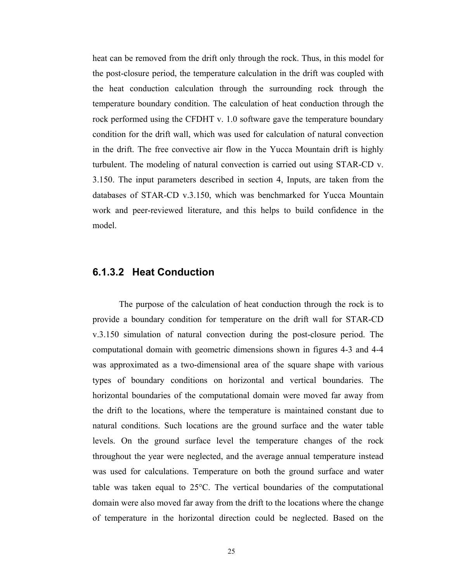heat can be removed from the drift only through the rock. Thus, in this model for the post-closure period, the temperature calculation in the drift was coupled with the heat conduction calculation through the surrounding rock through the temperature boundary condition. The calculation of heat conduction through the rock performed using the CFDHT v. 1.0 software gave the temperature boundary condition for the drift wall, which was used for calculation of natural convection in the drift. The free convective air flow in the Yucca Mountain drift is highly turbulent. The modeling of natural convection is carried out using STAR-CD v. 3.150. The input parameters described in section 4, Inputs, are taken from the databases of STAR-CD v.3.150, which was benchmarked for Yucca Mountain work and peer-reviewed literature, and this helps to build confidence in the model.

### **6.1.3.2 Heat Conduction**

The purpose of the calculation of heat conduction through the rock is to provide a boundary condition for temperature on the drift wall for STAR-CD v.3.150 simulation of natural convection during the post-closure period. The computational domain with geometric dimensions shown in figures 4-3 and 4-4 was approximated as a two-dimensional area of the square shape with various types of boundary conditions on horizontal and vertical boundaries. The horizontal boundaries of the computational domain were moved far away from the drift to the locations, where the temperature is maintained constant due to natural conditions. Such locations are the ground surface and the water table levels. On the ground surface level the temperature changes of the rock throughout the year were neglected, and the average annual temperature instead was used for calculations. Temperature on both the ground surface and water table was taken equal to 25°C. The vertical boundaries of the computational domain were also moved far away from the drift to the locations where the change of temperature in the horizontal direction could be neglected. Based on the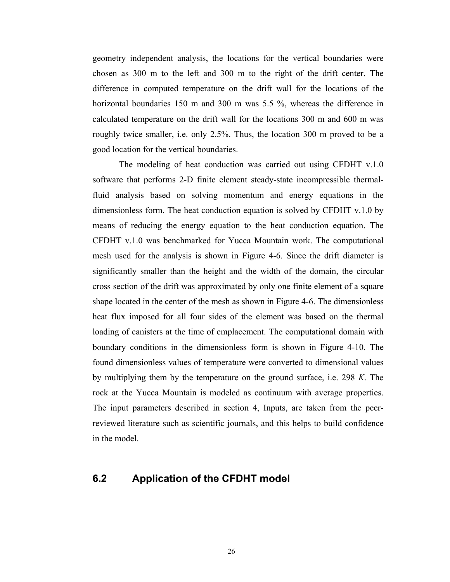geometry independent analysis, the locations for the vertical boundaries were chosen as 300 m to the left and 300 m to the right of the drift center. The difference in computed temperature on the drift wall for the locations of the horizontal boundaries 150 m and 300 m was 5.5 %, whereas the difference in calculated temperature on the drift wall for the locations 300 m and 600 m was roughly twice smaller, i.e. only 2.5%. Thus, the location 300 m proved to be a good location for the vertical boundaries.

The modeling of heat conduction was carried out using CFDHT v.1.0 software that performs 2-D finite element steady-state incompressible thermalfluid analysis based on solving momentum and energy equations in the dimensionless form. The heat conduction equation is solved by CFDHT v.1.0 by means of reducing the energy equation to the heat conduction equation. The CFDHT v.1.0 was benchmarked for Yucca Mountain work. The computational mesh used for the analysis is shown in Figure 4-6. Since the drift diameter is significantly smaller than the height and the width of the domain, the circular cross section of the drift was approximated by only one finite element of a square shape located in the center of the mesh as shown in Figure 4-6. The dimensionless heat flux imposed for all four sides of the element was based on the thermal loading of canisters at the time of emplacement. The computational domain with boundary conditions in the dimensionless form is shown in Figure 4-10. The found dimensionless values of temperature were converted to dimensional values by multiplying them by the temperature on the ground surface, i.e. 298 *K*. The rock at the Yucca Mountain is modeled as continuum with average properties. The input parameters described in section 4, Inputs, are taken from the peerreviewed literature such as scientific journals, and this helps to build confidence in the model.

### **6.2 Application of the CFDHT model**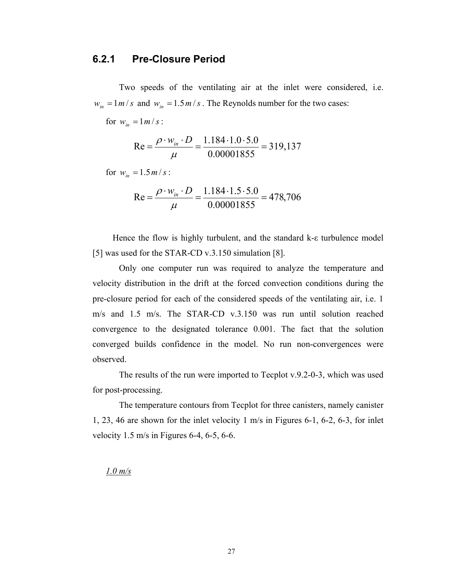### **6.2.1 Pre-Closure Period**

Two speeds of the ventilating air at the inlet were considered, i.e.  $w_{in} = 1 m/s$  and  $w_{in} = 1.5 m/s$ . The Reynolds number for the two cases:

for  $w_{in} = 1 m / s$ :

$$
\text{Re} = \frac{\rho \cdot w_{in} \cdot D}{\mu} = \frac{1.184 \cdot 1.0 \cdot 5.0}{0.00001855} = 319,137
$$

for  $w_{in} = 1.5 m / s$ :

$$
\text{Re} = \frac{\rho \cdot w_{in} \cdot D}{\mu} = \frac{1.184 \cdot 1.5 \cdot 5.0}{0.00001855} = 478,706
$$

Hence the flow is highly turbulent, and the standard k-ε turbulence model [5] was used for the STAR-CD v.3.150 simulation [8].

Only one computer run was required to analyze the temperature and velocity distribution in the drift at the forced convection conditions during the pre-closure period for each of the considered speeds of the ventilating air, i.e. 1 m/s and 1.5 m/s. The STAR-CD v.3.150 was run until solution reached convergence to the designated tolerance 0.001. The fact that the solution converged builds confidence in the model. No run non-convergences were observed.

The results of the run were imported to Tecplot v.9.2-0-3, which was used for post-processing.

The temperature contours from Tecplot for three canisters, namely canister 1, 23, 46 are shown for the inlet velocity 1 m/s in Figures 6-1, 6-2, 6-3, for inlet velocity 1.5 m/s in Figures 6-4, 6-5, 6-6.

#### *1.0 m/s*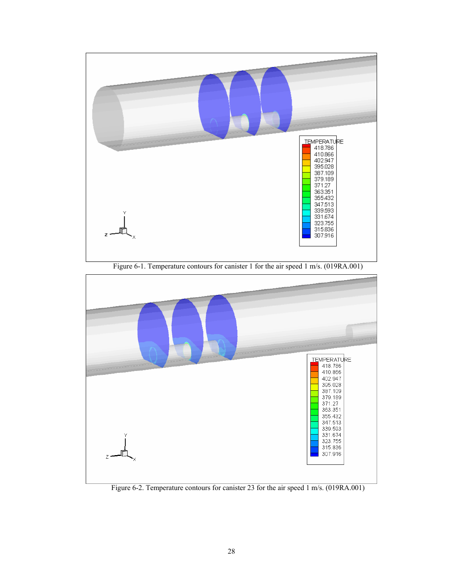

Figure 6-2. Temperature contours for canister 23 for the air speed 1 m/s. (019RA.001)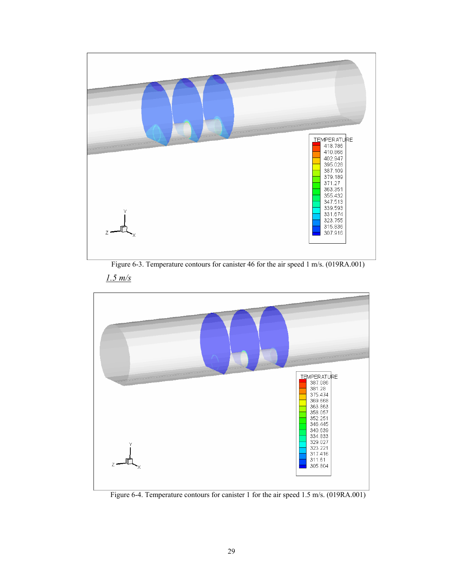

Figure 6-3. Temperature contours for canister 46 for the air speed 1 m/s. (019RA.001) *1.5 m/s*



Figure 6-4. Temperature contours for canister 1 for the air speed 1.5 m/s. (019RA.001)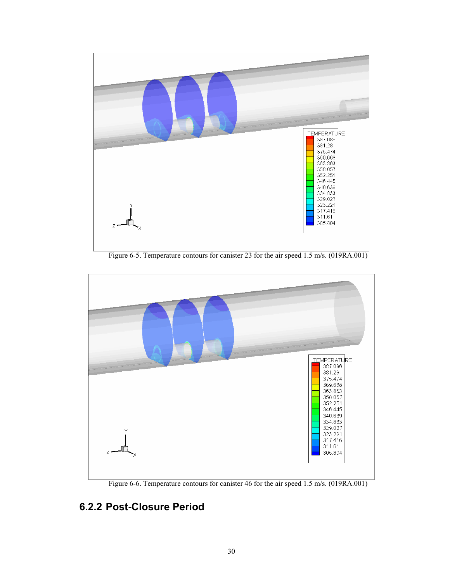

Figure 6-5. Temperature contours for canister 23 for the air speed 1.5 m/s. (019RA.001)



Figure 6-6. Temperature contours for canister 46 for the air speed 1.5 m/s. (019RA.001)

## **6.2.2 Post-Closure Period**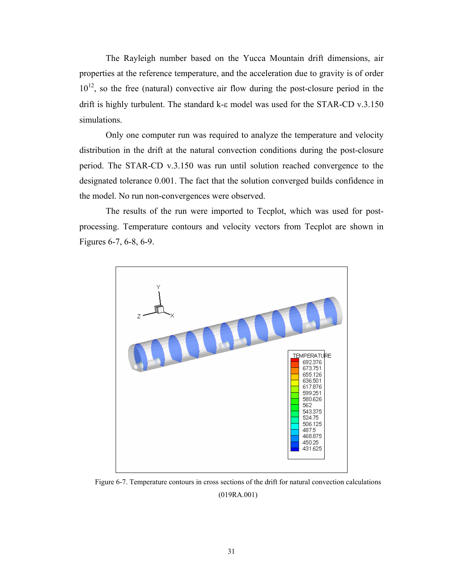The Rayleigh number based on the Yucca Mountain drift dimensions, air properties at the reference temperature, and the acceleration due to gravity is of order  $10^{12}$ , so the free (natural) convective air flow during the post-closure period in the drift is highly turbulent. The standard k-ε model was used for the STAR-CD v.3.150 simulations.

Only one computer run was required to analyze the temperature and velocity distribution in the drift at the natural convection conditions during the post-closure period. The STAR-CD v.3.150 was run until solution reached convergence to the designated tolerance 0.001. The fact that the solution converged builds confidence in the model. No run non-convergences were observed.

The results of the run were imported to Tecplot, which was used for postprocessing. Temperature contours and velocity vectors from Tecplot are shown in Figures 6-7, 6-8, 6-9.



Figure 6-7. Temperature contours in cross sections of the drift for natural convection calculations (019RA.001)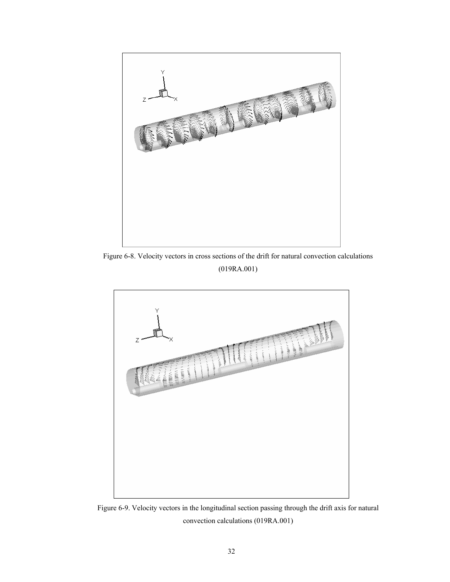

Figure 6-8. Velocity vectors in cross sections of the drift for natural convection calculations (019RA.001)



Figure 6-9. Velocity vectors in the longitudinal section passing through the drift axis for natural convection calculations (019RA.001)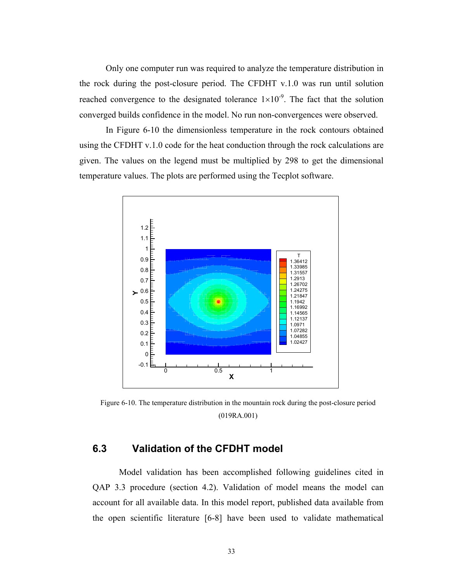Only one computer run was required to analyze the temperature distribution in the rock during the post-closure period. The CFDHT v.1.0 was run until solution reached convergence to the designated tolerance  $1\times10^{-9}$ . The fact that the solution converged builds confidence in the model. No run non-convergences were observed.

In Figure 6-10 the dimensionless temperature in the rock contours obtained using the CFDHT v.1.0 code for the heat conduction through the rock calculations are given. The values on the legend must be multiplied by 298 to get the dimensional temperature values. The plots are performed using the Tecplot software.



Figure 6-10. The temperature distribution in the mountain rock during the post-closure period (019RA.001)

### **6.3 Validation of the CFDHT model**

Model validation has been accomplished following guidelines cited in QAP 3.3 procedure (section 4.2). Validation of model means the model can account for all available data. In this model report, published data available from the open scientific literature [6-8] have been used to validate mathematical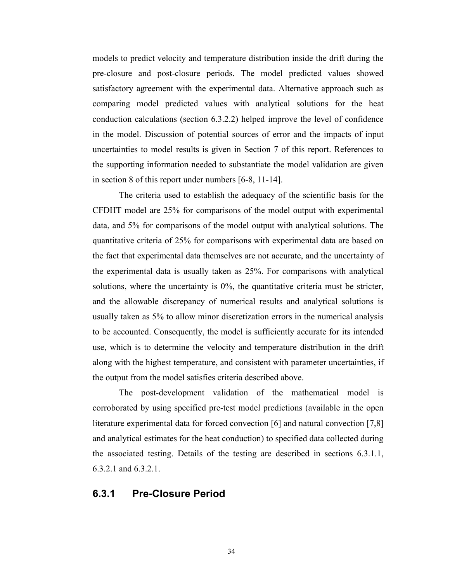models to predict velocity and temperature distribution inside the drift during the pre-closure and post-closure periods. The model predicted values showed satisfactory agreement with the experimental data. Alternative approach such as comparing model predicted values with analytical solutions for the heat conduction calculations (section 6.3.2.2) helped improve the level of confidence in the model. Discussion of potential sources of error and the impacts of input uncertainties to model results is given in Section 7 of this report. References to the supporting information needed to substantiate the model validation are given in section 8 of this report under numbers [6-8, 11-14].

The criteria used to establish the adequacy of the scientific basis for the CFDHT model are 25% for comparisons of the model output with experimental data, and 5% for comparisons of the model output with analytical solutions. The quantitative criteria of 25% for comparisons with experimental data are based on the fact that experimental data themselves are not accurate, and the uncertainty of the experimental data is usually taken as 25%. For comparisons with analytical solutions, where the uncertainty is 0%, the quantitative criteria must be stricter, and the allowable discrepancy of numerical results and analytical solutions is usually taken as 5% to allow minor discretization errors in the numerical analysis to be accounted. Consequently, the model is sufficiently accurate for its intended use, which is to determine the velocity and temperature distribution in the drift along with the highest temperature, and consistent with parameter uncertainties, if the output from the model satisfies criteria described above.

The post-development validation of the mathematical model is corroborated by using specified pre-test model predictions (available in the open literature experimental data for forced convection [6] and natural convection [7,8] and analytical estimates for the heat conduction) to specified data collected during the associated testing. Details of the testing are described in sections 6.3.1.1, 6.3.2.1 and 6.3.2.1.

### **6.3.1 Pre-Closure Period**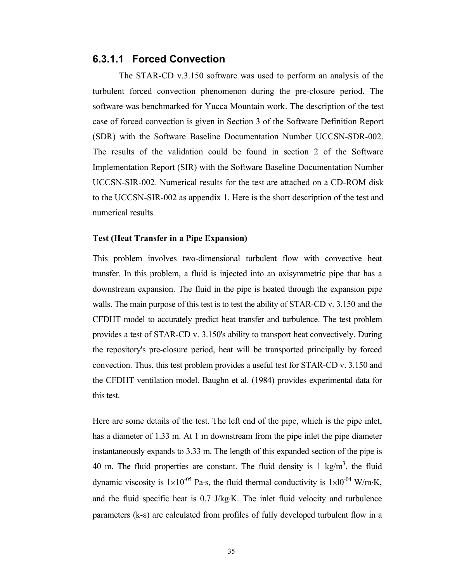### **6.3.1.1 Forced Convection**

The STAR-CD v.3.150 software was used to perform an analysis of the turbulent forced convection phenomenon during the pre-closure period. The software was benchmarked for Yucca Mountain work. The description of the test case of forced convection is given in Section 3 of the Software Definition Report (SDR) with the Software Baseline Documentation Number UCCSN-SDR-002. The results of the validation could be found in section 2 of the Software Implementation Report (SIR) with the Software Baseline Documentation Number UCCSN-SIR-002. Numerical results for the test are attached on a CD-ROM disk to the UCCSN-SIR-002 as appendix 1. Here is the short description of the test and numerical results

#### **Test (Heat Transfer in a Pipe Expansion)**

This problem involves two-dimensional turbulent flow with convective heat transfer. In this problem, a fluid is injected into an axisymmetric pipe that has a downstream expansion. The fluid in the pipe is heated through the expansion pipe walls. The main purpose of this test is to test the ability of STAR-CD v. 3.150 and the CFDHT model to accurately predict heat transfer and turbulence. The test problem provides a test of STAR-CD v. 3.150's ability to transport heat convectively. During the repository's pre-closure period, heat will be transported principally by forced convection. Thus, this test problem provides a useful test for STAR-CD v. 3.150 and the CFDHT ventilation model. Baughn et al. (1984) provides experimental data for this test.

Here are some details of the test. The left end of the pipe, which is the pipe inlet, has a diameter of 1.33 m. At 1 m downstream from the pipe inlet the pipe diameter instantaneously expands to 3.33 m. The length of this expanded section of the pipe is 40 m. The fluid properties are constant. The fluid density is 1 kg/m<sup>3</sup>, the fluid dynamic viscosity is  $1\times10^{-05}$  Pa⋅s, the fluid thermal conductivity is  $1\times10^{-04}$  W/m⋅K, and the fluid specific heat is 0.7 J/kg⋅K. The inlet fluid velocity and turbulence parameters (k-ε) are calculated from profiles of fully developed turbulent flow in a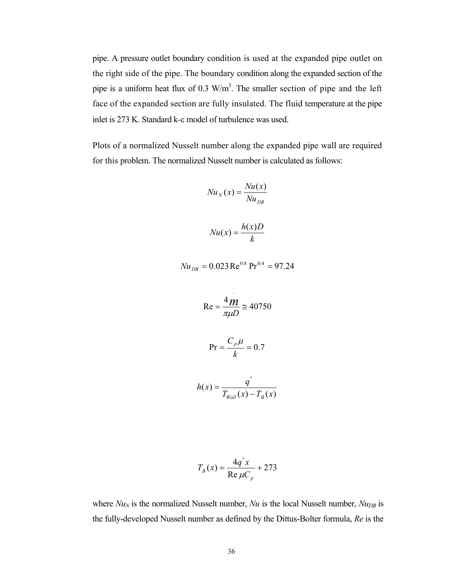pipe. A pressure outlet boundary condition is used at the expanded pipe outlet on the right side of the pipe. The boundary condition along the expanded section of the pipe is a uniform heat flux of 0.3  $W/m<sup>3</sup>$ . The smaller section of pipe and the left face of the expanded section are fully insulated. The fluid temperature at the pipe inlet is 273 K. Standard k-ε model of turbulence was used.

Plots of a normalized Nusselt number along the expanded pipe wall are required for this problem. The normalized Nusselt number is calculated as follows:

$$
Nu_N(x) = \frac{Nu(x)}{Nu_{DB}}
$$

$$
Nu(x) = \frac{h(x)D}{1}
$$

*k*

$$
Nu_{DB} = 0.023 \text{Re}^{0.8} \text{Pr}^{0.4} = 97.24
$$

$$
\text{Re} = \frac{4 \, \text{m}}{\pi \mu \text{D}} \approx 40750
$$

$$
Pr = \frac{C_p \mu}{k} = 0.7
$$

$$
h(x) = \frac{q^{n}}{T_{wall}(x) - T_{B}(x)}
$$

$$
T_B(x) = \frac{4q^{\degree}x}{\text{Re }\mu C_p} + 273
$$

where  $Nu_N$  is the normalized Nusselt number,  $Nu$  is the local Nusselt number,  $Nu_{DB}$  is the fully-developed Nusselt number as defined by the Dittus-Bolter formula, *Re* is the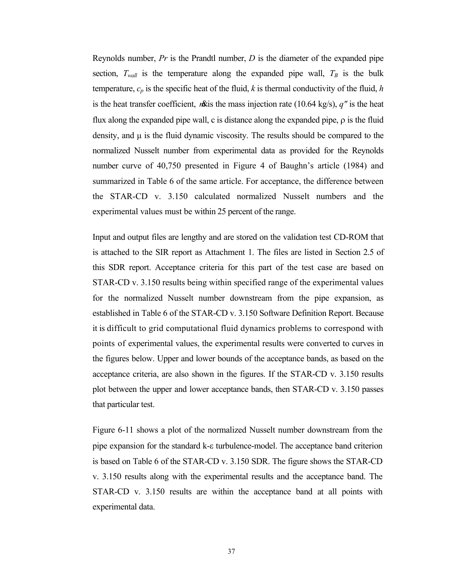Reynolds number, *Pr* is the Prandtl number, *D* is the diameter of the expanded pipe section,  $T_{wall}$  is the temperature along the expanded pipe wall,  $T_B$  is the bulk temperature,  $c_p$  is the specific heat of the fluid,  $k$  is thermal conductivity of the fluid,  $h$ is the heat transfer coefficient, *m*&is the mass injection rate (10.64 kg/s), *q"* is the heat flux along the expanded pipe wall, c is distance along the expanded pipe,  $\rho$  is the fluid density, and  $\mu$  is the fluid dynamic viscosity. The results should be compared to the normalized Nusselt number from experimental data as provided for the Reynolds number curve of 40,750 presented in Figure 4 of Baughn's article (1984) and summarized in Table 6 of the same article. For acceptance, the difference between the STAR-CD v. 3.150 calculated normalized Nusselt numbers and the experimental values must be within 25 percent of the range.

Input and output files are lengthy and are stored on the validation test CD-ROM that is attached to the SIR report as Attachment 1. The files are listed in Section 2.5 of this SDR report. Acceptance criteria for this part of the test case are based on STAR-CD v. 3.150 results being within specified range of the experimental values for the normalized Nusselt number downstream from the pipe expansion, as established in Table 6 of the STAR-CD v. 3.150 Software Definition Report. Because it is difficult to grid computational fluid dynamics problems to correspond with points of experimental values, the experimental results were converted to curves in the figures below. Upper and lower bounds of the acceptance bands, as based on the acceptance criteria, are also shown in the figures. If the STAR-CD v. 3.150 results plot between the upper and lower acceptance bands, then STAR-CD v. 3.150 passes that particular test.

Figure 6-11 shows a plot of the normalized Nusselt number downstream from the pipe expansion for the standard k-ε turbulence-model. The acceptance band criterion is based on Table 6 of the STAR-CD v. 3.150 SDR. The figure shows the STAR-CD v. 3.150 results along with the experimental results and the acceptance band. The STAR-CD v. 3.150 results are within the acceptance band at all points with experimental data.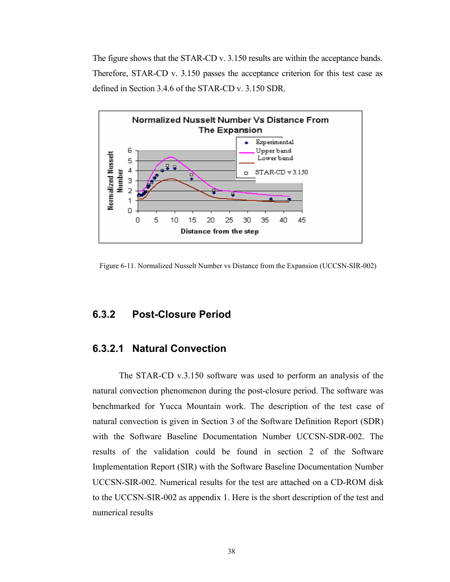The figure shows that the STAR-CD v. 3.150 results are within the acceptance bands. Therefore, STAR-CD v. 3.150 passes the acceptance criterion for this test case as defined in Section 3.4.6 of the STAR-CD v. 3.150 SDR.



Figure 6-11. Normalized Nusselt Number vs Distance from the Expansion (UCCSN-SIR-002)

### **6.3.2 Post-Closure Period**

### **6.3.2.1 Natural Convection**

The STAR-CD v.3.150 software was used to perform an analysis of the natural convection phenomenon during the post-closure period. The software was benchmarked for Yucca Mountain work. The description of the test case of natural convection is given in Section 3 of the Software Definition Report (SDR) with the Software Baseline Documentation Number UCCSN-SDR-002. The results of the validation could be found in section 2 of the Software Implementation Report (SIR) with the Software Baseline Documentation Number UCCSN-SIR-002. Numerical results for the test are attached on a CD-ROM disk to the UCCSN-SIR-002 as appendix 1. Here is the short description of the test and numerical results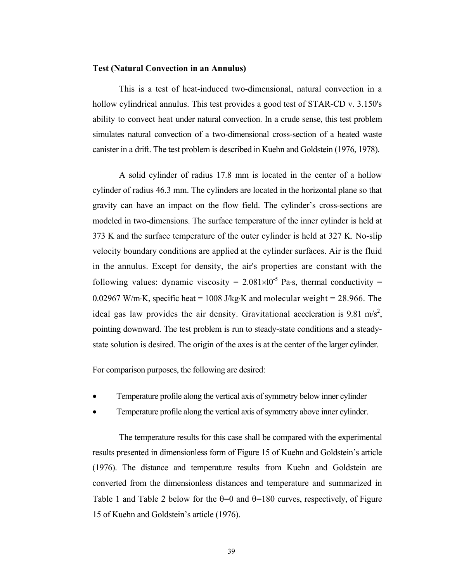#### **Test (Natural Convection in an Annulus)**

This is a test of heat-induced two-dimensional, natural convection in a hollow cylindrical annulus. This test provides a good test of STAR-CD v. 3.150's ability to convect heat under natural convection. In a crude sense, this test problem simulates natural convection of a two-dimensional cross-section of a heated waste canister in a drift. The test problem is described in Kuehn and Goldstein (1976, 1978).

A solid cylinder of radius 17.8 mm is located in the center of a hollow cylinder of radius 46.3 mm. The cylinders are located in the horizontal plane so that gravity can have an impact on the flow field. The cylinder's cross-sections are modeled in two-dimensions. The surface temperature of the inner cylinder is held at 373 K and the surface temperature of the outer cylinder is held at 327 K. No-slip velocity boundary conditions are applied at the cylinder surfaces. Air is the fluid in the annulus. Except for density, the air's properties are constant with the following values: dynamic viscosity =  $2.081 \times 10^{-5}$  Pa⋅s, thermal conductivity = 0.02967 W/m⋅K, specific heat = 1008 J/kg⋅K and molecular weight = 28.966. The ideal gas law provides the air density. Gravitational acceleration is 9.81 m/s<sup>2</sup>, pointing downward. The test problem is run to steady-state conditions and a steadystate solution is desired. The origin of the axes is at the center of the larger cylinder.

For comparison purposes, the following are desired:

- Temperature profile along the vertical axis of symmetry below inner cylinder
- Temperature profile along the vertical axis of symmetry above inner cylinder.

The temperature results for this case shall be compared with the experimental results presented in dimensionless form of Figure 15 of Kuehn and Goldstein's article (1976). The distance and temperature results from Kuehn and Goldstein are converted from the dimensionless distances and temperature and summarized in Table 1 and Table 2 below for the  $\theta$ =0 and  $\theta$ =180 curves, respectively, of Figure 15 of Kuehn and Goldstein's article (1976).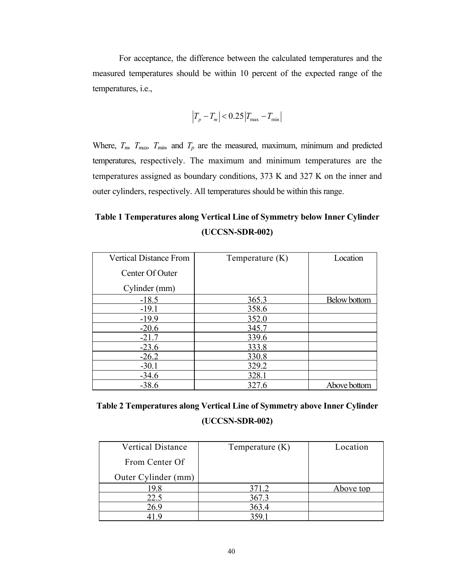For acceptance, the difference between the calculated temperatures and the measured temperatures should be within 10 percent of the expected range of the temperatures, i.e.,

$$
\left|T_p - T_m\right| < 0.25 \left|T_{\text{max}} - T_{\text{min}}\right|
$$

Where,  $T_m$ ,  $T_{max}$ ,  $T_{min}$ , and  $T_p$  are the measured, maximum, minimum and predicted temperatures, respectively. The maximum and minimum temperatures are the temperatures assigned as boundary conditions, 373 K and 327 K on the inner and outer cylinders, respectively. All temperatures should be within this range.

## **Table 1 Temperatures along Vertical Line of Symmetry below Inner Cylinder (UCCSN-SDR-002)**

| <b>Vertical Distance From</b> | Temperature $(K)$ | Location            |
|-------------------------------|-------------------|---------------------|
| Center Of Outer               |                   |                     |
| Cylinder (mm)                 |                   |                     |
| $-18.5$                       | 365.3             | <b>Below bottom</b> |
| $-19.1$                       | 358.6             |                     |
| $-19.9$                       | 352.0             |                     |
| $-20.6$                       | 345.7             |                     |
| $-21.7$                       | 339.6             |                     |
| $-23.6$                       | 333.8             |                     |
| $-26.2$                       | 330.8             |                     |
| $-30.1$                       | 329.2             |                     |
| $-34.6$                       | 328.1             |                     |
| $-38.6$                       | 327.6             | Above bottom        |

## **Table 2 Temperatures along Vertical Line of Symmetry above Inner Cylinder (UCCSN-SDR-002)**

| <b>Vertical Distance</b> | Temperature $(K)$ | Location  |
|--------------------------|-------------------|-----------|
| From Center Of           |                   |           |
| Outer Cylinder (mm)      |                   |           |
| -9 X                     | 3712              | Above top |
| 22.5                     | 367.3             |           |
| 26.9                     | 363.4             |           |
|                          | 359 1             |           |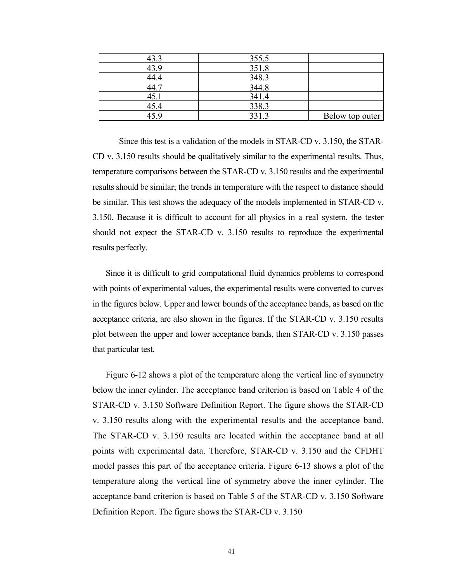| 43.3 | 355.5 |                 |
|------|-------|-----------------|
| 43.9 | 351.8 |                 |
| 44.4 | 348.3 |                 |
| 44.7 | 344.8 |                 |
| 45.1 | 341.4 |                 |
| 45.4 | 338.3 |                 |
| 45 9 | 331.3 | Below top outer |

Since this test is a validation of the models in STAR-CD v. 3.150, the STAR-CD v. 3.150 results should be qualitatively similar to the experimental results. Thus, temperature comparisons between the STAR-CD v. 3.150 results and the experimental results should be similar; the trends in temperature with the respect to distance should be similar. This test shows the adequacy of the models implemented in STAR-CD v. 3.150. Because it is difficult to account for all physics in a real system, the tester should not expect the STAR-CD v. 3.150 results to reproduce the experimental results perfectly.

Since it is difficult to grid computational fluid dynamics problems to correspond with points of experimental values, the experimental results were converted to curves in the figures below. Upper and lower bounds of the acceptance bands, as based on the acceptance criteria, are also shown in the figures. If the STAR-CD v. 3.150 results plot between the upper and lower acceptance bands, then STAR-CD v. 3.150 passes that particular test.

Figure 6-12 shows a plot of the temperature along the vertical line of symmetry below the inner cylinder. The acceptance band criterion is based on Table 4 of the STAR-CD v. 3.150 Software Definition Report. The figure shows the STAR-CD v. 3.150 results along with the experimental results and the acceptance band. The STAR-CD v. 3.150 results are located within the acceptance band at all points with experimental data. Therefore, STAR-CD v. 3.150 and the CFDHT model passes this part of the acceptance criteria. Figure 6-13 shows a plot of the temperature along the vertical line of symmetry above the inner cylinder. The acceptance band criterion is based on Table 5 of the STAR-CD v. 3.150 Software Definition Report. The figure shows the STAR-CD v. 3.150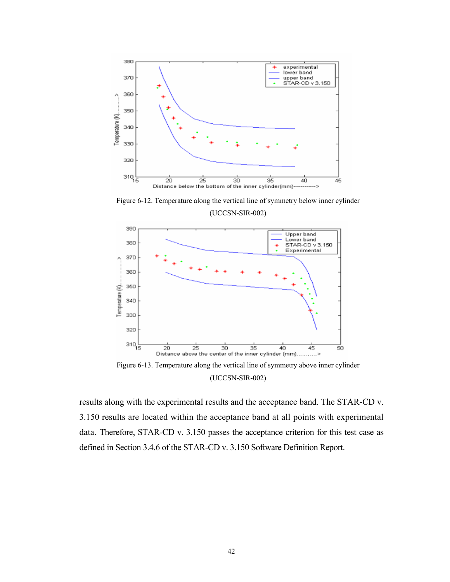

Figure 6-12. Temperature along the vertical line of symmetry below inner cylinder (UCCSN-SIR-002)



Figure 6-13. Temperature along the vertical line of symmetry above inner cylinder (UCCSN-SIR-002)

results along with the experimental results and the acceptance band. The STAR-CD v. 3.150 results are located within the acceptance band at all points with experimental data. Therefore, STAR-CD v. 3.150 passes the acceptance criterion for this test case as defined in Section 3.4.6 of the STAR-CD v. 3.150 Software Definition Report.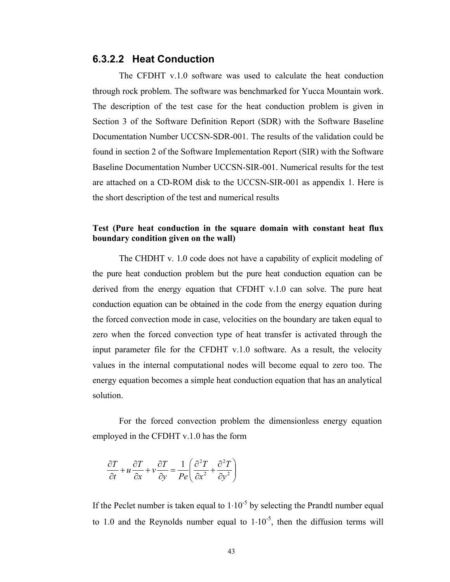### **6.3.2.2 Heat Conduction**

The CFDHT v.1.0 software was used to calculate the heat conduction through rock problem. The software was benchmarked for Yucca Mountain work. The description of the test case for the heat conduction problem is given in Section 3 of the Software Definition Report (SDR) with the Software Baseline Documentation Number UCCSN-SDR-001. The results of the validation could be found in section 2 of the Software Implementation Report (SIR) with the Software Baseline Documentation Number UCCSN-SIR-001. Numerical results for the test are attached on a CD-ROM disk to the UCCSN-SIR-001 as appendix 1. Here is the short description of the test and numerical results

#### **Test (Pure heat conduction in the square domain with constant heat flux boundary condition given on the wall)**

The CHDHT v. 1.0 code does not have a capability of explicit modeling of the pure heat conduction problem but the pure heat conduction equation can be derived from the energy equation that CFDHT v.1.0 can solve. The pure heat conduction equation can be obtained in the code from the energy equation during the forced convection mode in case, velocities on the boundary are taken equal to zero when the forced convection type of heat transfer is activated through the input parameter file for the CFDHT v.1.0 software. As a result, the velocity values in the internal computational nodes will become equal to zero too. The energy equation becomes a simple heat conduction equation that has an analytical solution.

For the forced convection problem the dimensionless energy equation employed in the CFDHT v.1.0 has the form

$$
\frac{\partial T}{\partial t} + u \frac{\partial T}{\partial x} + v \frac{\partial T}{\partial y} = \frac{1}{Pe} \left( \frac{\partial^2 T}{\partial x^2} + \frac{\partial^2 T}{\partial y^2} \right)
$$

If the Peclet number is taken equal to  $1 \cdot 10^{-5}$  by selecting the Prandtl number equal to 1.0 and the Reynolds number equal to  $1 \cdot 10^{-5}$ , then the diffusion terms will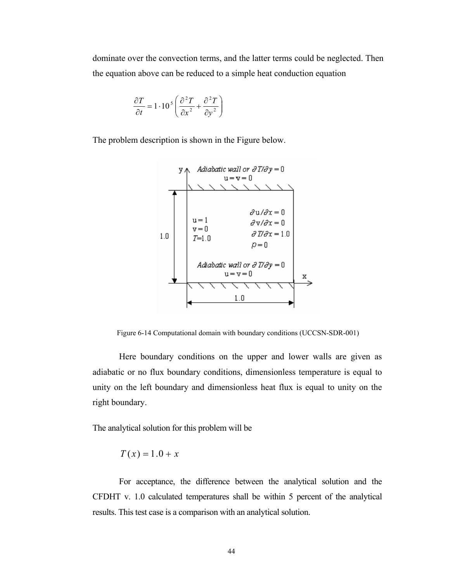dominate over the convection terms, and the latter terms could be neglected. Then the equation above can be reduced to a simple heat conduction equation

$$
\frac{\partial T}{\partial t} = 1 \cdot 10^5 \left( \frac{\partial^2 T}{\partial x^2} + \frac{\partial^2 T}{\partial y^2} \right)
$$

The problem description is shown in the Figure below.



Figure 6-14 Computational domain with boundary conditions (UCCSN-SDR-001)

Here boundary conditions on the upper and lower walls are given as adiabatic or no flux boundary conditions, dimensionless temperature is equal to unity on the left boundary and dimensionless heat flux is equal to unity on the right boundary.

The analytical solution for this problem will be

$$
T(x) = 1.0 + x
$$

For acceptance, the difference between the analytical solution and the CFDHT v. 1.0 calculated temperatures shall be within 5 percent of the analytical results. This test case is a comparison with an analytical solution.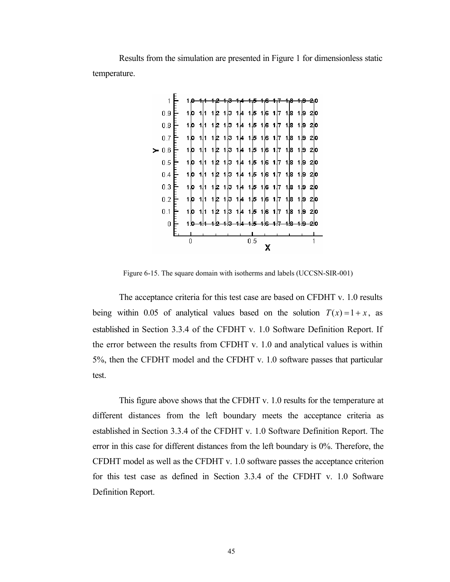Results from the simulation are presented in Figure 1 for dimensionless static temperature.



Figure 6-15. The square domain with isotherms and labels (UCCSN-SIR-001)

The acceptance criteria for this test case are based on CFDHT v. 1.0 results being within 0.05 of analytical values based on the solution  $T(x) = 1 + x$ , as established in Section 3.3.4 of the CFDHT v. 1.0 Software Definition Report. If the error between the results from CFDHT v. 1.0 and analytical values is within 5%, then the CFDHT model and the CFDHT v. 1.0 software passes that particular test.

This figure above shows that the CFDHT v. 1.0 results for the temperature at different distances from the left boundary meets the acceptance criteria as established in Section 3.3.4 of the CFDHT v. 1.0 Software Definition Report. The error in this case for different distances from the left boundary is 0%. Therefore, the CFDHT model as well as the CFDHT v. 1.0 software passes the acceptance criterion for this test case as defined in Section 3.3.4 of the CFDHT v. 1.0 Software Definition Report.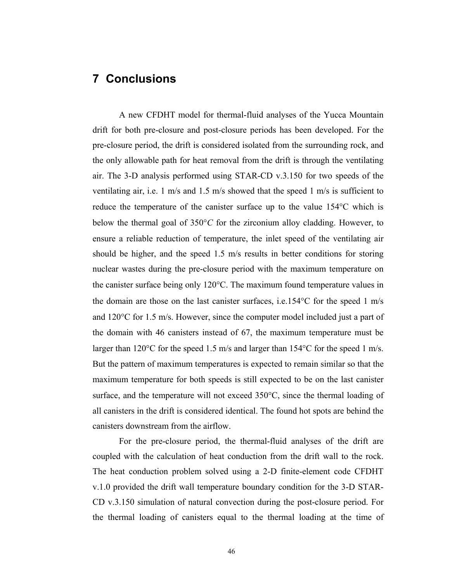## **7 Conclusions**

A new CFDHT model for thermal-fluid analyses of the Yucca Mountain drift for both pre-closure and post-closure periods has been developed. For the pre-closure period, the drift is considered isolated from the surrounding rock, and the only allowable path for heat removal from the drift is through the ventilating air. The 3-D analysis performed using STAR-CD v.3.150 for two speeds of the ventilating air, i.e. 1 m/s and 1.5 m/s showed that the speed 1 m/s is sufficient to reduce the temperature of the canister surface up to the value 154°C which is below the thermal goal of 350°*C* for the zirconium alloy cladding. However, to ensure a reliable reduction of temperature, the inlet speed of the ventilating air should be higher, and the speed 1.5 m/s results in better conditions for storing nuclear wastes during the pre-closure period with the maximum temperature on the canister surface being only 120°C. The maximum found temperature values in the domain are those on the last canister surfaces, i.e.154 $\degree$ C for the speed 1 m/s and 120°C for 1.5 m/s. However, since the computer model included just a part of the domain with 46 canisters instead of 67, the maximum temperature must be larger than 120°C for the speed 1.5 m/s and larger than 154°C for the speed 1 m/s. But the pattern of maximum temperatures is expected to remain similar so that the maximum temperature for both speeds is still expected to be on the last canister surface, and the temperature will not exceed 350°C, since the thermal loading of all canisters in the drift is considered identical. The found hot spots are behind the canisters downstream from the airflow.

For the pre-closure period, the thermal-fluid analyses of the drift are coupled with the calculation of heat conduction from the drift wall to the rock. The heat conduction problem solved using a 2-D finite-element code CFDHT v.1.0 provided the drift wall temperature boundary condition for the 3-D STAR-CD v.3.150 simulation of natural convection during the post-closure period. For the thermal loading of canisters equal to the thermal loading at the time of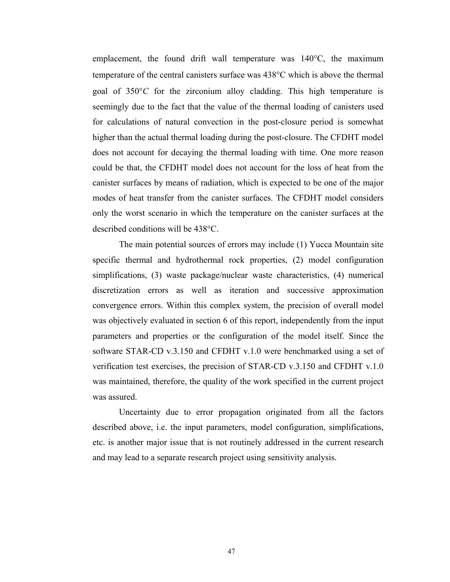emplacement, the found drift wall temperature was 140°C, the maximum temperature of the central canisters surface was 438°C which is above the thermal goal of 350°*C* for the zirconium alloy cladding. This high temperature is seemingly due to the fact that the value of the thermal loading of canisters used for calculations of natural convection in the post-closure period is somewhat higher than the actual thermal loading during the post-closure. The CFDHT model does not account for decaying the thermal loading with time. One more reason could be that, the CFDHT model does not account for the loss of heat from the canister surfaces by means of radiation, which is expected to be one of the major modes of heat transfer from the canister surfaces. The CFDHT model considers only the worst scenario in which the temperature on the canister surfaces at the described conditions will be 438°C.

The main potential sources of errors may include (1) Yucca Mountain site specific thermal and hydrothermal rock properties, (2) model configuration simplifications, (3) waste package/nuclear waste characteristics, (4) numerical discretization errors as well as iteration and successive approximation convergence errors. Within this complex system, the precision of overall model was objectively evaluated in section 6 of this report, independently from the input parameters and properties or the configuration of the model itself. Since the software STAR-CD v.3.150 and CFDHT v.1.0 were benchmarked using a set of verification test exercises, the precision of STAR-CD v.3.150 and CFDHT v.1.0 was maintained, therefore, the quality of the work specified in the current project was assured.

Uncertainty due to error propagation originated from all the factors described above, i.e. the input parameters, model configuration, simplifications, etc. is another major issue that is not routinely addressed in the current research and may lead to a separate research project using sensitivity analysis.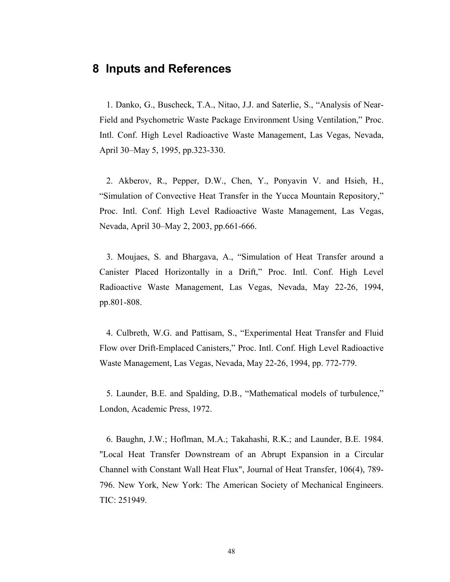## **8 Inputs and References**

1. Danko, G., Buscheck, T.A., Nitao, J.J. and Saterlie, S., "Analysis of Near-Field and Psychometric Waste Package Environment Using Ventilation," Proc. Intl. Conf. High Level Radioactive Waste Management, Las Vegas, Nevada, April 30–May 5, 1995, pp.323-330.

2. Akberov, R., Pepper, D.W., Chen, Y., Ponyavin V. and Hsieh, H., "Simulation of Convective Heat Transfer in the Yucca Mountain Repository," Proc. Intl. Conf. High Level Radioactive Waste Management, Las Vegas, Nevada, April 30–May 2, 2003, pp.661-666.

3. Moujaes, S. and Bhargava, A., "Simulation of Heat Transfer around a Canister Placed Horizontally in a Drift," Proc. Intl. Conf. High Level Radioactive Waste Management, Las Vegas, Nevada, May 22-26, 1994, pp.801-808.

4. Culbreth, W.G. and Pattisam, S., "Experimental Heat Transfer and Fluid Flow over Drift-Emplaced Canisters," Proc. Intl. Conf. High Level Radioactive Waste Management, Las Vegas, Nevada, May 22-26, 1994, pp. 772-779.

5. Launder, B.E. and Spalding, D.B., "Mathematical models of turbulence," London, Academic Press, 1972.

6. Baughn, J.W.; Hoflman, M.A.; Takahashi, R.K.; and Launder, B.E. 1984. "Local Heat Transfer Downstream of an Abrupt Expansion in a Circular Channel with Constant Wall Heat Flux", Journal of Heat Transfer, 106(4), 789- 796. New York, New York: The American Society of Mechanical Engineers. TIC: 251949.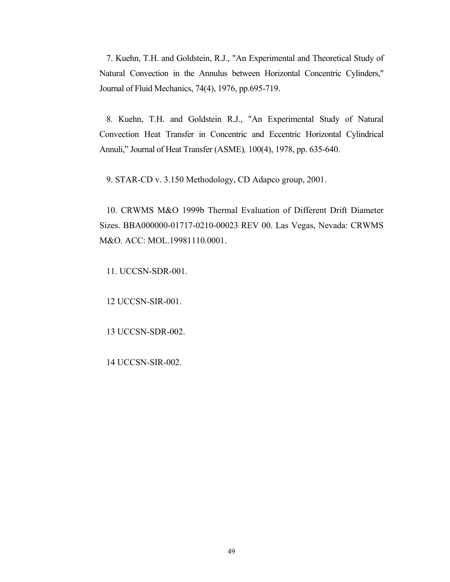7. Kuehn, T.H. and Goldstein, R.J., "An Experimental and Theoretical Study of Natural Convection in the Annulus between Horizontal Concentric Cylinders," Journal of Fluid Mechanics, 74(4), 1976, pp.695-719.

8. Kuehn, T.H. and Goldstein R.J., "An Experimental Study of Natural Convection Heat Transfer in Concentric and Eccentric Horizontal Cylindrical Annuli," Journal of Heat Transfer (ASME)*,* 100(4), 1978, pp. 635-640.

9. STAR-CD v. 3.150 Methodology, CD Adapco group, 2001.

10. CRWMS M&O 1999b Thermal Evaluation of Different Drift Diameter Sizes. BBA000000-01717-0210-00023 REV 00. Las Vegas, Nevada: CRWMS M&O. ACC: MOL.19981110.0001.

11. UCCSN-SDR-001.

12 UCCSN-SIR-001.

13 UCCSN-SDR-002.

14 UCCSN-SIR-002.